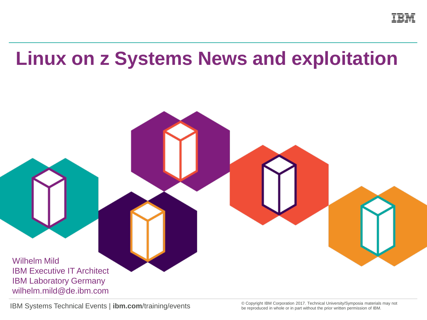

# **Linux on z Systems News and exploitation**

Wilhelm Mild IBM Executive IT Architect IBM Laboratory Germany wilhelm.mild@de.ibm.com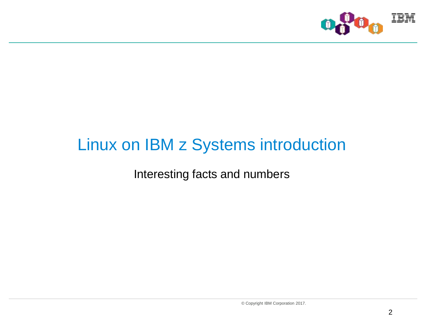

### Linux on IBM z Systems introduction

Interesting facts and numbers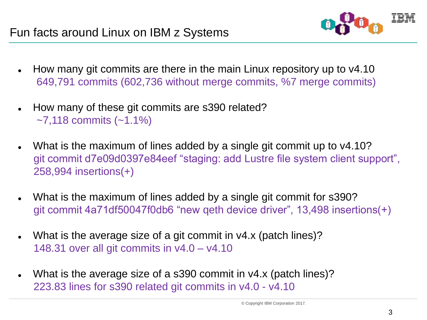

- How many git commits are there in the main Linux repository up to v4.10 649,791 commits (602,736 without merge commits, %7 merge commits)
- How many of these git commits are s390 related?  $-7,118$  commits  $(-1.1\%)$
- What is the maximum of lines added by a single git commit up to v4.10? git commit d7e09d0397e84eef "staging: add Lustre file system client support", 258,994 insertions(+)
- What is the maximum of lines added by a single git commit for s390? git commit 4a71df50047f0db6 "new qeth device driver", 13,498 insertions(+)
- What is the average size of a git commit in v4.x (patch lines)? 148.31 over all git commits in v4.0 – v4.10
- What is the average size of a s390 commit in v4.x (patch lines)? 223.83 lines for s390 related git commits in v4.0 - v4.10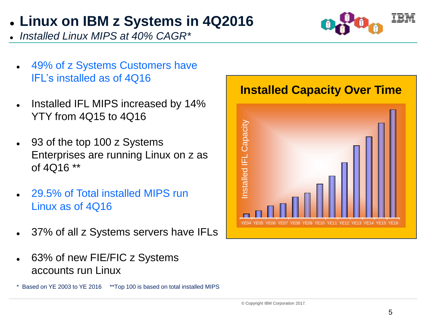### **Linux on IBM z Systems in 4Q2016**

*Installed Linux MIPS at 40% CAGR\**

- 49% of z Systems Customers have IFL's installed as of 4Q16
- Installed IFL MIPS increased by 14% YTY from 4Q15 to 4Q16
- 93 of the top 100 z Systems Enterprises are running Linux on z as of 4Q16 \*\*
- 29.5% of Total installed MIPS run Linux as of 4Q16
- 37% of all z Systems servers have IFLs
- 63% of new FIE/FIC z Systems accounts run Linux

\* Based on YE 2003 to YE 2016 \*\*Top 100 is based on total installed MIPS



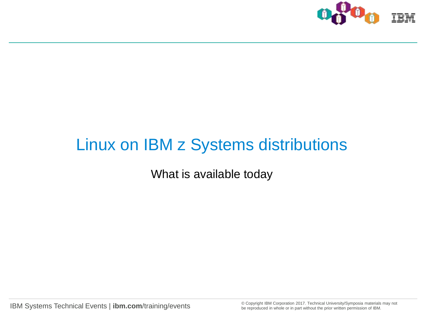

### Linux on IBM z Systems distributions

What is available today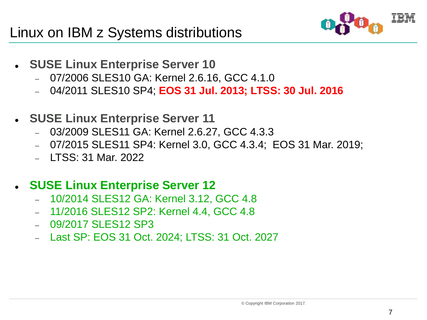

- **SUSE Linux Enterprise Server 10**
	- 07/2006 SLES10 GA: Kernel 2.6.16, GCC 4.1.0
	- 04/2011 SLES10 SP4; **EOS 31 Jul. 2013; LTSS: 30 Jul. 2016**
- **SUSE Linux Enterprise Server 11**
	- 03/2009 SLES11 GA: Kernel 2.6.27, GCC 4.3.3
	- 07/2015 SLES11 SP4: Kernel 3.0, GCC 4.3.4; EOS 31 Mar. 2019;
	- LTSS: 31 Mar. 2022

### **SUSE Linux Enterprise Server 12**

- 10/2014 SLES12 GA: Kernel 3.12, GCC 4.8
- 11/2016 SLES12 SP2: Kernel 4.4, GCC 4.8
- 09/2017 SLES12 SP3
- Last SP: EOS 31 Oct. 2024; LTSS: 31 Oct. 2027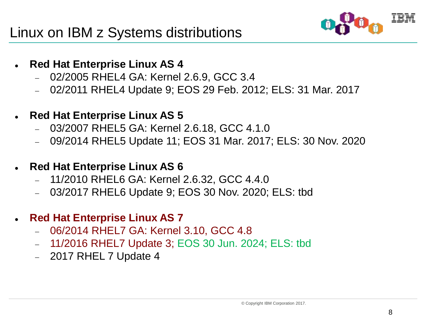

- **Red Hat Enterprise Linux AS 4**
	- 02/2005 RHEL4 GA: Kernel 2.6.9, GCC 3.4
	- 02/2011 RHEL4 Update 9; EOS 29 Feb. 2012; ELS: 31 Mar. 2017
- **Red Hat Enterprise Linux AS 5**
	- 03/2007 RHEL5 GA: Kernel 2.6.18, GCC 4.1.0
	- 09/2014 RHEL5 Update 11; EOS 31 Mar. 2017; ELS: 30 Nov. 2020
- **Red Hat Enterprise Linux AS 6**
	- 11/2010 RHEL6 GA: Kernel 2.6.32, GCC 4.4.0
	- 03/2017 RHEL6 Update 9; EOS 30 Nov. 2020; ELS: tbd
- **Red Hat Enterprise Linux AS 7**
	- 06/2014 RHEL7 GA: Kernel 3.10, GCC 4.8
	- 11/2016 RHEL7 Update 3; EOS 30 Jun. 2024; ELS: tbd
	- 2017 RHEL 7 Update 4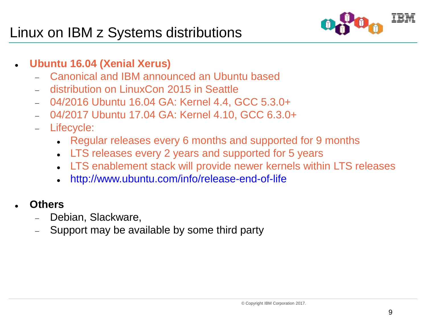### Linux on IBM z Systems distributions



- **Ubuntu 16.04 (Xenial Xerus)**
	- Canonical and IBM announced an Ubuntu based
	- distribution on LinuxCon 2015 in Seattle
	- 04/2016 Ubuntu 16.04 GA: Kernel 4.4, GCC 5.3.0+
	- 04/2017 Ubuntu 17.04 GA: Kernel 4.10, GCC 6.3.0+
	- Lifecycle:
		- Regular releases every 6 months and supported for 9 months
		- LTS releases every 2 years and supported for 5 years
		- LTS enablement stack will provide newer kernels within LTS releases
		- <http://www.ubuntu.com/info/release-end-of-life>
- **Others**
	- Debian, Slackware,
	- Support may be available by some third party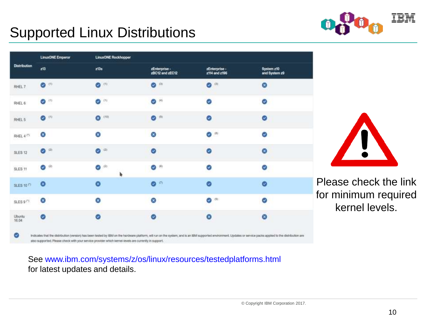

### Supported Linux Distributions

|                              | <b>LinuxONE Emperor</b> | LinuxONE Rockhopper      |                                  |                                |                             |  |  |
|------------------------------|-------------------------|--------------------------|----------------------------------|--------------------------------|-----------------------------|--|--|
| <b>Distribution</b>          | zt3                     | ztās                     | zEnterprise -<br>zBC12 and zEC12 | zEnterprise -<br>z114 and z196 | System z10<br>and System z9 |  |  |
| RHEL 7                       | $\bullet$               | $\bullet$                | $\bullet$                        | $\bullet$                      | ø                           |  |  |
| RHEL 6                       | $\hat{\mathbf{u}}$<br>Ø | ø<br>$\omega$            | $\bullet$                        | Ø                              | Ø                           |  |  |
| RHEL 5                       | $\bullet$               | $\bullet$ 1101           | $\bullet$                        | Ø                              | ø                           |  |  |
| RHEL $4(4)$                  | ø                       | ø                        | ø                                | $\bullet$                      | ø                           |  |  |
| SLES <sub>12</sub>           | $\bullet$ (2)           | (2)<br>ø                 | ø                                | $\bullet$                      | Ø                           |  |  |
| SLES 11                      | $\bullet$ (2)           | $\langle 2 \rangle$<br>Ø | ◎ (8)                            | Ø                              | Ø                           |  |  |
| <b>SLES 10<sup>(*)</sup></b> | O                       | $\bullet$                | $\bullet$                        | $\bullet$                      | $\bullet$                   |  |  |
| SLES 9 <sup>(*)</sup>        | Ø.                      | Θ                        | ⊗                                | $\bullet$                      | ☉                           |  |  |
| Ubuntu<br>16.04              | Ø                       | $\bullet$                | ø                                | $\bullet$                      | ø                           |  |  |

also supported. Please check with your service provider which kernel-levels are currently in support.

See [www.ibm.com/systems/z/os/linux/resources/testedplatforms.html](http://www.ibm.com/systems/z/os/linux/resources/testedplatforms.html) for latest updates and details.

Please check the link for minimum required kernel levels.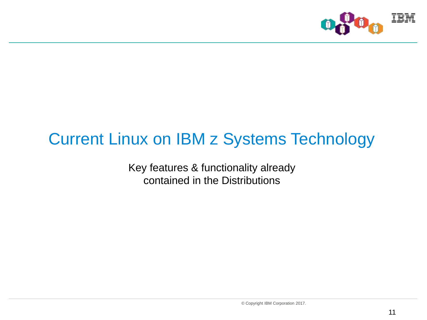

# Current Linux on IBM z Systems Technology

Key features & functionality already contained in the Distributions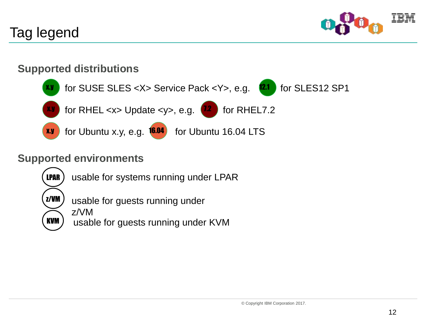

### Tag legend

#### **Supported distributions**



#### **Supported environments**





usable for guests running under

z/VM usable for guests running under KVM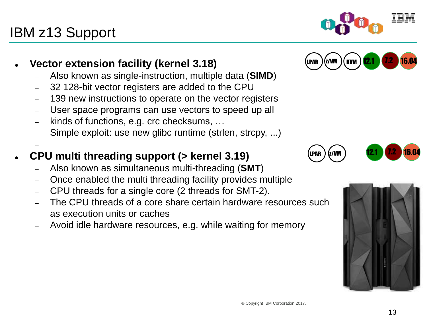#### 13

#### **Vector extension facility (kernel 3.18)**

IBM z13 Support

-

- Also known as single-instruction, multiple data (**SIMD**)
- 32 128-bit vector registers are added to the CPU
- 139 new instructions to operate on the vector registers
- User space programs can use vectors to speed up all
- kinds of functions, e.g. crc checksums, …
- Simple exploit: use new glibc runtime (strlen, strcpy, ...)

#### **CPU multi threading support (> kernel 3.19)**

- Also known as simultaneous multi-threading (**SMT**)
- Once enabled the multi threading facility provides multiple
- CPU threads for a single core (2 threads for SMT-2).
- The CPU threads of a core share certain hardware resources such
- as execution units or caches
- Avoid idle hardware resources, e.g. while waiting for memory









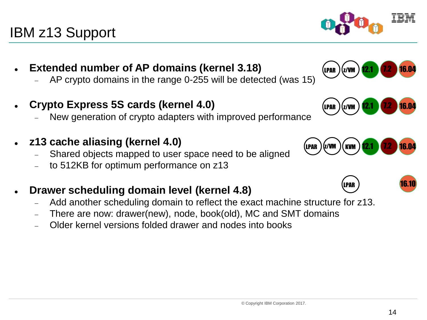### IBM z13 Support

- **Extended number of AP domains (kernel 3.18)**
	- AP crypto domains in the range 0-255 will be detected (was 15)
- **Crypto Express 5S cards (kernel 4.0)**
	- New generation of crypto adapters with improved performance
- **z13 cache aliasing (kernel 4.0)**
	- Shared objects mapped to user space need to be aligned
	- to 512KB for optimum performance on z13
- **Drawer scheduling domain level (kernel 4.8)**
	- Add another scheduling domain to reflect the exact machine structure for z13.
	- There are now: drawer(new), node, book(old), MC and SMT domains
	- Older kernel versions folded drawer and nodes into books



LPAR  $)(z$ /VM  $)$  12.1  $(7.2 \cdot 16.04$ 





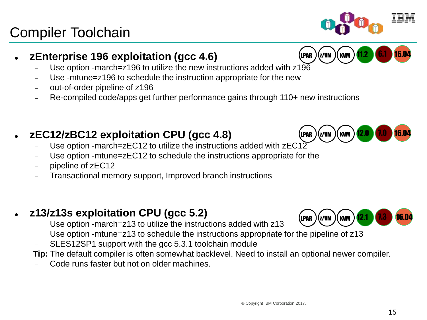#### 15

### **zEnterprise 196 exploitation (gcc 4.6)**

- Use option -march=z196 to utilize the new instructions added with z196
- Use -mtune=z196 to schedule the instruction appropriate for the new
- out-of-order pipeline of z196
- Re-compiled code/apps get further performance gains through 110+ new instructions

### **zEC12/zBC12 exploitation CPU (gcc 4.8)**

- Use option -march=zEC12 to utilize the instructions added with  $zEC12$
- Use option -mtune=zEC12 to schedule the instructions appropriate for the
- pipeline of zEC12

Compiler Toolchain

Transactional memory support, Improved branch instructions

### **z13/z13s exploitation CPU (gcc 5.2)**

- Use option -march=z13 to utilize the instructions added with z13
- Use option -mtune=z13 to schedule the instructions appropriate for the pipeline of z13
- SLES12SP1 support with the gcc 5.3.1 toolchain module

**Tip:** The default compiler is often somewhat backlevel. Need to install an optional newer compiler.

Code runs faster but not on older machines.

# LPAR )(z/vm )(kvm ) <mark>11.2 (6.1 16.04</mark>





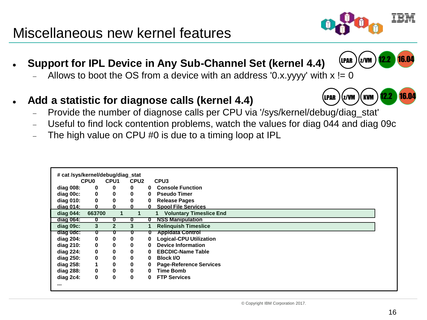### 16

#### **Support for IPL Device in Any Sub-Channel Set (kernel 4.4)**

- Allows to boot the OS from a device with an address '0.x.yyyy' with  $x = 0$
- **Add a statistic for diagnose calls (kernel 4.4)**
	- Provide the number of diagnose calls per CPU via '/sys/kernel/debug/diag\_stat'
	- Useful to find lock contention problems, watch the values for diag 044 and diag 09c
	- The high value on CPU #0 is due to a timing loop at IPL

| # cat /sys/kernel/debug/diag_stat |             |                  |                  |   |                                |
|-----------------------------------|-------------|------------------|------------------|---|--------------------------------|
|                                   | <b>CPU0</b> | CPU <sub>1</sub> | CPU <sub>2</sub> |   | CPU <sub>3</sub>               |
| diag 008:                         | 0           | 0                | 0                | 0 | <b>Console Function</b>        |
| diag 00c:                         | $\mathbf 0$ | 0                | 0                | 0 | <b>Pseudo Timer</b>            |
| diag 010:                         | 0           | 0                | 0                | 0 | <b>Release Pages</b>           |
| <u>diag 014:</u>                  |             |                  |                  | 0 | <b>Spool File Services</b>     |
| diag 044:                         | 663700      |                  |                  |   | <b>Voluntary Timeslice End</b> |
| $diag 064$ :                      | 0           | o                | U                | o | <b>NSS Manipulation</b>        |
| diag 09c:                         | 3           | $\overline{2}$   | 3                |   | <b>Relinquish Timeslice</b>    |
| diag 0dc:                         | U           |                  |                  |   | <b>Appidata Control</b>        |
| diag 204:                         | 0           | 0                | 0                | 0 | <b>Logical-CPU Utilization</b> |
| diag 210:                         | 0           | 0                | 0                | 0 | <b>Device Information</b>      |
| diag 224:                         | 0           | 0                | 0                | 0 | <b>EBCDIC-Name Table</b>       |
| diag 250:                         | 0           | 0                | 0                | 0 | <b>Block I/O</b>               |
| diag 258:                         |             | 0                | 0                | 0 | <b>Page-Reference Services</b> |
| diag 288:                         | 0           | 0                | 0                | 0 | <b>Time Bomb</b>               |
| diag 2c4:                         | 0           | 0                | 0                | 0 | <b>FTP Services</b>            |
|                                   |             |                  |                  |   |                                |

### Miscellaneous new kernel features



LPAR<sup>2</sup>

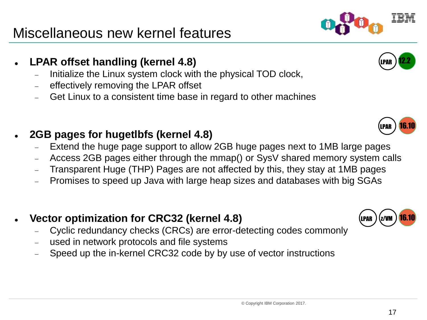### Miscellaneous new kernel features

- **LPAR offset handling (kernel 4.8)**
	- Initialize the Linux system clock with the physical TOD clock,
	- effectively removing the LPAR offset
	- Get Linux to a consistent time base in regard to other machines
- **2GB pages for hugetlbfs (kernel 4.8)**
	- Extend the huge page support to allow 2GB huge pages next to 1MB large pages
	- Access 2GB pages either through the mmap() or SysV shared memory system calls
	- Transparent Huge (THP) Pages are not affected by this, they stay at 1MB pages
	- Promises to speed up Java with large heap sizes and databases with big SGAs
- **Vector optimization for CRC32 (kernel 4.8)**
	- Cyclic redundancy checks (CRCs) are error-detecting codes commonly
	- used in network protocols and file systems
	- Speed up the in-kernel CRC32 code by by use of vector instructions









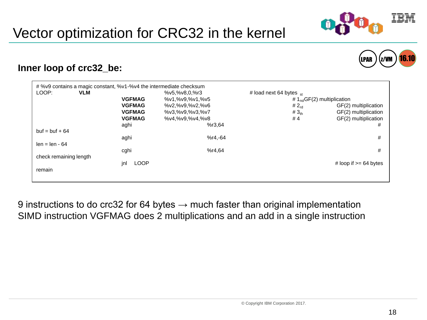

|  | u |  |
|--|---|--|



#### **Inner loop of crc32\_be:**

| # %v9 contains a magic constant, %v1-%v4 the intermediate checksum |               |                 |                                 |                            |
|--------------------------------------------------------------------|---------------|-----------------|---------------------------------|----------------------------|
| LOOP:<br><b>VLM</b>                                                |               | %v5,%v8,0,%r3   | # load next 64 bytes $_{st}$    |                            |
|                                                                    | <b>VGFMAG</b> | %v1,%v9,%v1,%v5 | # $1_{nd}$ GF(2) multiplication |                            |
|                                                                    | <b>VGFMAG</b> | %v2,%v9,%v2,%v6 | # $2_{rd}$                      | GF(2) multiplication       |
|                                                                    | <b>VGFMAG</b> | %v3,%v9,%v3,%v7 | # $3th$                         | GF(2) multiplication       |
|                                                                    | <b>VGFMAG</b> | %v4,%v9,%v4,%v8 | #4                              | GF(2) multiplication       |
|                                                                    | aghi          | %r3,64          |                                 | #                          |
| $but = but + 64$                                                   |               |                 |                                 |                            |
|                                                                    | aghi          | $%r4.-64$       |                                 | #                          |
| $len = len - 64$                                                   |               |                 |                                 |                            |
|                                                                    | cghi          | %r4.64          |                                 | #                          |
| check remaining length                                             |               |                 |                                 |                            |
| <b>LOOP</b><br>jnl                                                 |               |                 |                                 | # loop if $\ge$ = 64 bytes |
| remain                                                             |               |                 |                                 |                            |
|                                                                    |               |                 |                                 |                            |
|                                                                    |               |                 |                                 |                            |

9 instructions to do crc32 for 64 bytes  $\rightarrow$  much faster than original implementation SIMD instruction VGFMAG does 2 multiplications and an add in a single instruction



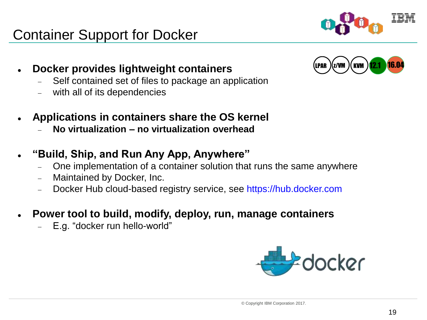### Container Support for Docker

- **Docker provides lightweight containers**
	- Self contained set of files to package an application
	- with all of its dependencies
- **Applications in containers share the OS kernel**
	- **No virtualization – no virtualization overhead**
- $\bullet$ **"Build, Ship, and Run Any App, Anywhere"**
	- One implementation of a container solution that runs the same anywhere
	- Maintained by Docker, Inc.
	- Docker Hub cloud-based registry service, see [https://hub.docker.com](https://hub.docker.com/)
- **Power tool to build, modify, deploy, run, manage containers**
	- E.g. "docker run hello-world"





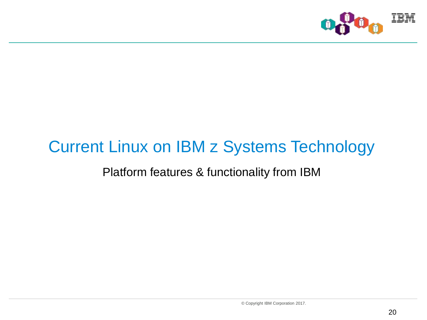

### Current Linux on IBM z Systems Technology

### Platform features & functionality from IBM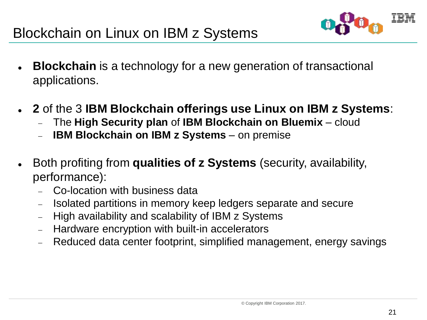

- **Blockchain** is a technology for a new generation of transactional applications.
- **2** of the 3 **IBM Blockchain offerings use Linux on IBM z Systems**:
	- The **High Security plan** of **IBM Blockchain on Bluemix** cloud
	- **IBM Blockchain on IBM z Systems** on premise
- Both profiting from **qualities of z Systems** (security, availability, performance):
	- Co-location with business data
	- Isolated partitions in memory keep ledgers separate and secure
	- High availability and scalability of IBM z Systems
	- Hardware encryption with built-in accelerators
	- Reduced data center footprint, simplified management, energy savings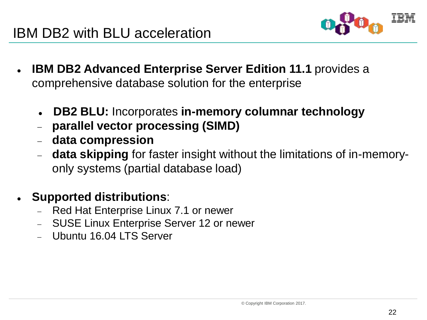

- **IBM DB2 Advanced Enterprise Server Edition 11.1** provides a comprehensive database solution for the enterprise
	- **DB2 BLU:** Incorporates **in-memory columnar technology**
	- **parallel vector processing (SIMD)**
	- **data compression**
	- **data skipping** for faster insight without the limitations of in-memoryonly systems (partial database load)
- **Supported distributions**:
	- Red Hat Enterprise Linux 7.1 or newer
	- SUSE Linux Enterprise Server 12 or newer
	- Ubuntu 16.04 LTS Server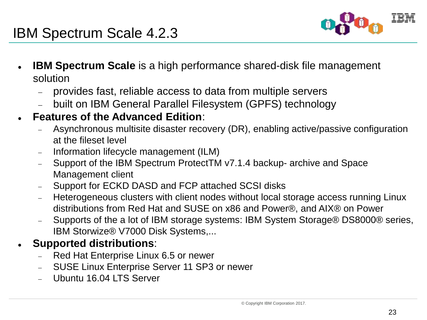

### IBM Spectrum Scale 4.2.3

- **IBM Spectrum Scale** is a high performance shared-disk file management solution
	- provides fast, reliable access to data from multiple servers
	- built on IBM General Parallel Filesystem (GPFS) technology
- **Features of the Advanced Edition**:
	- Asynchronous multisite disaster recovery (DR), enabling active/passive configuration at the fileset level
	- Information lifecycle management (ILM)
	- Support of the IBM Spectrum ProtectTM v7.1.4 backup- archive and Space Management client
	- Support for ECKD DASD and FCP attached SCSI disks
	- Heterogeneous clusters with client nodes without local storage access running Linux distributions from Red Hat and SUSE on x86 and Power®, and AIX® on Power
	- Supports of the a lot of IBM storage systems: IBM System Storage® DS8000® series, IBM Storwize® V7000 Disk Systems,...
- **Supported distributions**:
	- Red Hat Enterprise Linux 6.5 or newer
	- SUSE Linux Enterprise Server 11 SP3 or newer
	- Ubuntu 16.04 LTS Server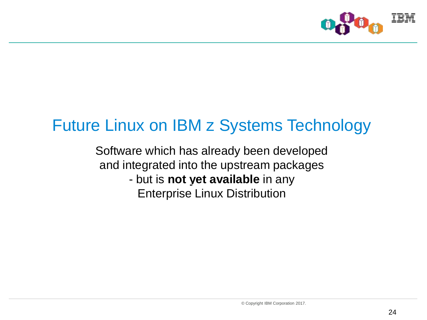

## Future Linux on IBM z Systems Technology

Software which has already been developed and integrated into the upstream packages - but is **not yet available** in any

Enterprise Linux Distribution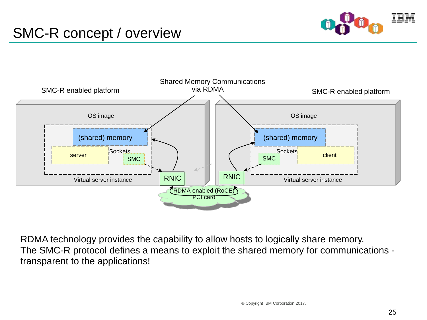### SMC-R concept / overview





RDMA technology provides the capability to allow hosts to logically share memory. The SMC-R protocol defines a means to exploit the shared memory for communications transparent to the applications!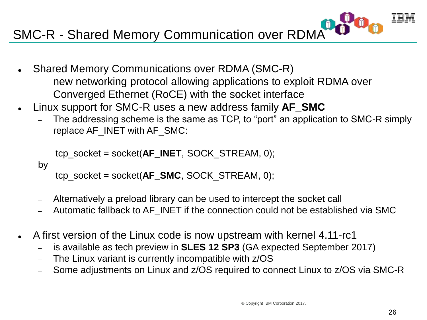SMC-R - Shared Memory Communication over RDMA

- Shared Memory Communications over RDMA (SMC-R)
	- new networking protocol allowing applications to exploit RDMA over Converged Ethernet (RoCE) with the socket interface
- Linux support for SMC-R uses a new address family **AF\_SMC**
	- The addressing scheme is the same as TCP, to "port" an application to SMC-R simply replace AF\_INET with AF\_SMC:

```
tcp_socket = socket(AF_INET, SOCK_STREAM, 0);
```

```
by
```

```
tcp_socket = socket(AF_SMC, SOCK_STREAM, 0);
```
- Alternatively a preload library can be used to intercept the socket call
- Automatic fallback to AF\_INET if the connection could not be established via SMC
- A first version of the Linux code is now upstream with kernel 4.11-rc1
	- is available as tech preview in **SLES 12 SP3** (GA expected September 2017)
	- The Linux variant is currently incompatible with z/OS
	- Some adjustments on Linux and z/OS required to connect Linux to z/OS via SMC-R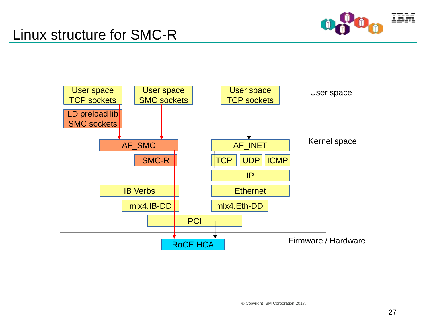

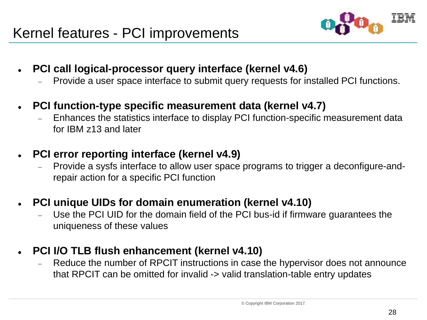

- **PCI call logical-processor query interface (kernel v4.6)**
	- Provide a user space interface to submit query requests for installed PCI functions.
- **PCI function-type specific measurement data (kernel v4.7)**
	- Enhances the statistics interface to display PCI function-specific measurement data for IBM z13 and later
- **PCI error reporting interface (kernel v4.9)**
	- Provide a sysfs interface to allow user space programs to trigger a deconfigure-andrepair action for a specific PCI function
- **PCI unique UIDs for domain enumeration (kernel v4.10)**
	- Use the PCI UID for the domain field of the PCI bus-id if firmware guarantees the uniqueness of these values
- **PCI I/O TLB flush enhancement (kernel v4.10)**
	- Reduce the number of RPCIT instructions in case the hypervisor does not announce that RPCIT can be omitted for invalid -> valid translation-table entry updates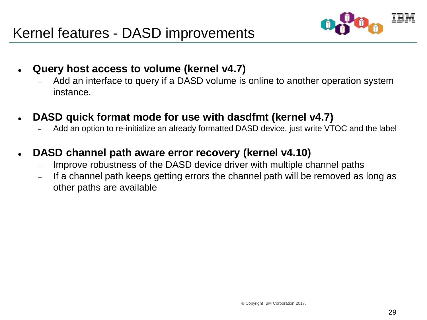

- **Query host access to volume (kernel v4.7)**
	- Add an interface to query if a DASD volume is online to another operation system instance.
- **DASD quick format mode for use with dasdfmt (kernel v4.7)**
	- Add an option to re-initialize an already formatted DASD device, just write VTOC and the label
- **DASD channel path aware error recovery (kernel v4.10)**
	- Improve robustness of the DASD device driver with multiple channel paths
	- If a channel path keeps getting errors the channel path will be removed as long as other paths are available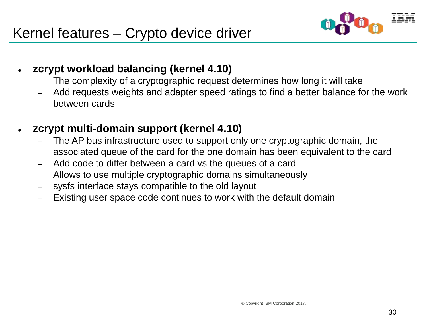

- **zcrypt workload balancing (kernel 4.10)**
	- The complexity of a cryptographic request determines how long it will take
	- Add requests weights and adapter speed ratings to find a better balance for the work between cards
- **zcrypt multi-domain support (kernel 4.10)**
	- The AP bus infrastructure used to support only one cryptographic domain, the associated queue of the card for the one domain has been equivalent to the card
	- Add code to differ between a card vs the queues of a card
	- Allows to use multiple cryptographic domains simultaneously
	- sysfs interface stays compatible to the old layout
	- Existing user space code continues to work with the default domain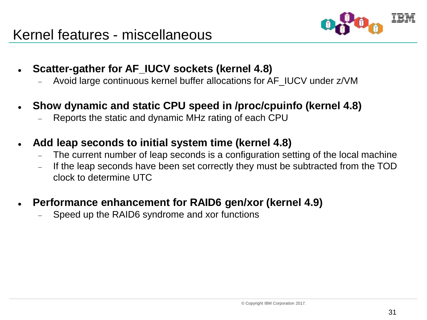

- **Scatter-gather for AF\_IUCV sockets (kernel 4.8)**
	- Avoid large continuous kernel buffer allocations for AF\_IUCV under z/VM
- **Show dynamic and static CPU speed in /proc/cpuinfo (kernel 4.8)**
	- Reports the static and dynamic MHz rating of each CPU
- **Add leap seconds to initial system time (kernel 4.8)**
	- The current number of leap seconds is a configuration setting of the local machine
	- If the leap seconds have been set correctly they must be subtracted from the TOD clock to determine UTC
- **Performance enhancement for RAID6 gen/xor (kernel 4.9)**
	- Speed up the RAID6 syndrome and xor functions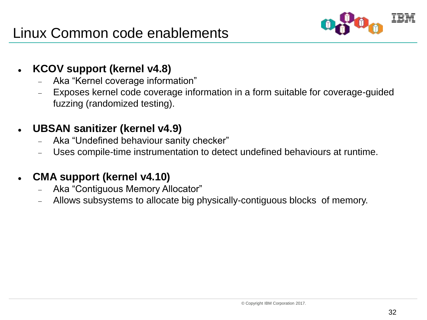

#### **KCOV support (kernel v4.8)**

- Aka "Kernel coverage information"
- Exposes kernel code coverage information in a form suitable for coverage-guided fuzzing (randomized testing).

### **UBSAN sanitizer (kernel v4.9)**

- Aka "Undefined behaviour sanity checker"
- Uses compile-time instrumentation to detect undefined behaviours at runtime.

### **CMA support (kernel v4.10)**

- Aka "Contiguous Memory Allocator"
- Allows subsystems to allocate big physically-contiguous blocks of memory.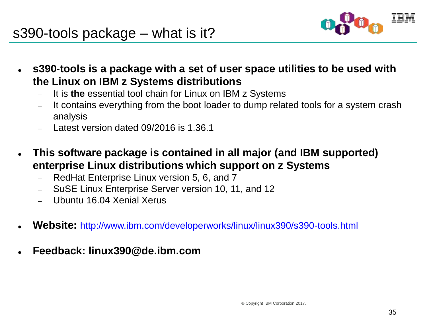

- **s390-tools is a package with a set of user space utilities to be used with the Linux on IBM z Systems distributions**
	- It is **the** essential tool chain for Linux on IBM z Systems
	- It contains everything from the boot loader to dump related tools for a system crash analysis
	- Latest version dated 09/2016 is 1.36.1
- **This software package is contained in all major (and IBM supported) enterprise Linux distributions which support on z Systems**
	- RedHat Enterprise Linux version 5, 6, and 7
	- SuSE Linux Enterprise Server version 10, 11, and 12
	- Ubuntu 16.04 Xenial Xerus
- **Website:** <http://www.ibm.com/developerworks/linux/linux390/s390-tools.html>
- **Feedback: linux390@de.ibm.com**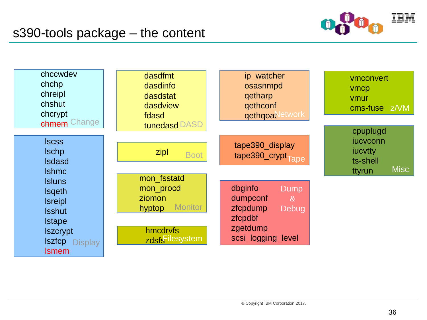

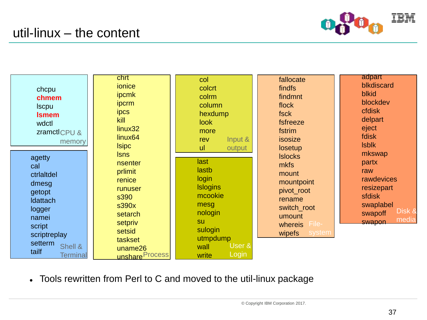



Tools rewritten from Perl to C and moved to the util-linux package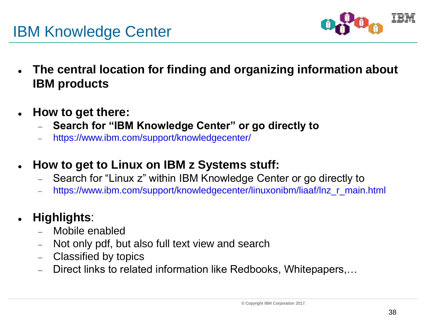



- **The central location for finding and organizing information about IBM products**
- **How to get there:**
	- **Search for "IBM Knowledge Center" or go directly to**
	- <https://www.ibm.com/support/knowledgecenter/>
- **How to get to Linux on IBM z Systems stuff:**
	- Search for "Linux z" within IBM Knowledge Center or go directly to
	- [https://www.ibm.com/support/knowledgecenter/linuxonibm/liaaf/lnz\\_r\\_main.html](https://www.ibm.com/support/knowledgecenter/linuxonibm/liaaf/lnz_r_main.html)

### **Highlights**:

- Mobile enabled
- Not only pdf, but also full text view and search
- Classified by topics
- Direct links to related information like Redbooks, Whitepapers,…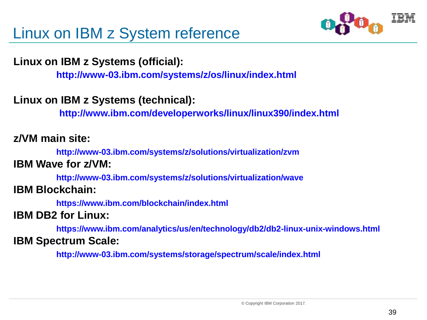

#### **Linux on IBM z Systems (official):**

**<http://www-03.ibm.com/systems/z/os/linux/index.html>**

**Linux on IBM z Systems (technical):**

**<http://www.ibm.com/developerworks/linux/linux390/index.html>**

#### **z/VM main site:**

**[http://www-03.ibm.com/systems/z/solutions/virtualization/zvm](http://www-03.ibm.com/systems/z/solutions/virtualization/zvm/)**

#### **IBM Wave for z/VM:**

**[http://www-03.ibm.com/systems/z/solutions/virtualization/wave](http://www-03.ibm.com/systems/z/solutions/virtualization/wave/) IBM Blockchain:**

**<https://www.ibm.com/blockchain/index.html>**

#### **IBM DB2 for Linux:**

**<https://www.ibm.com/analytics/us/en/technology/db2/db2-linux-unix-windows.html> IBM Spectrum Scale:**

**<http://www-03.ibm.com/systems/storage/spectrum/scale/index.html>**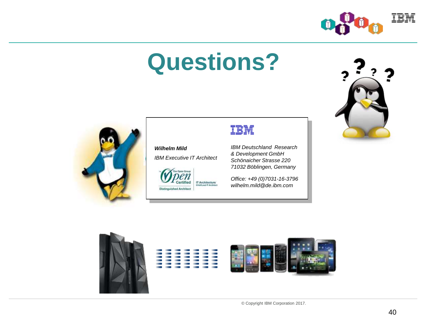

# **Questions?**

*Wilhelm Mild*

*IBM Executive IT Architect*

**IT Architecture**<br>Chieffused IT Architect

The Open Group en

Certified **Distinguished Architect** 





*IBM Deutschland Research & Development GmbH Schönaicher Strasse 220 71032 Böblingen, Germany*

*Office: +49 (0)7031-16-3796 wilhelm.mild@de.ibm.com*

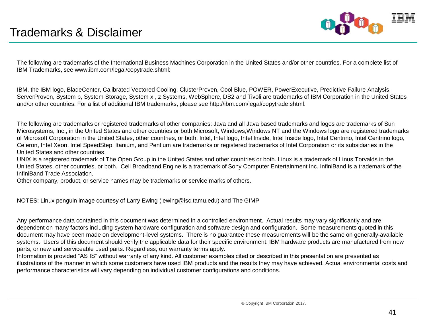

The following are trademarks of the International Business Machines Corporation in the United States and/or other countries. For a complete list of IBM Trademarks, see www.ibm.com/legal/copytrade.shtml:

IBM, the IBM logo, BladeCenter, Calibrated Vectored Cooling, ClusterProven, Cool Blue, POWER, PowerExecutive, Predictive Failure Analysis, ServerProven, System p, System Storage, System x , z Systems, WebSphere, DB2 and Tivoli are trademarks of IBM Corporation in the United States and/or other countries. For a list of additional IBM trademarks, please see http://ibm.com/legal/copytrade.shtml.

The following are trademarks or registered trademarks of other companies: Java and all Java based trademarks and logos are trademarks of Sun Microsystems, Inc., in the United States and other countries or both Microsoft, Windows,Windows NT and the Windows logo are registered trademarks of Microsoft Corporation in the United States, other countries, or both. Intel, Intel logo, Intel Inside, Intel Inside logo, Intel Centrino, Intel Centrino logo, Celeron, Intel Xeon, Intel SpeedStep, Itanium, and Pentium are trademarks or registered trademarks of Intel Corporation or its subsidiaries in the United States and other countries.

UNIX is a registered trademark of The Open Group in the United States and other countries or both. Linux is a trademark of Linus Torvalds in the United States, other countries, or both. Cell Broadband Engine is a trademark of Sony Computer Entertainment Inc. InfiniBand is a trademark of the InfiniBand Trade Association.

Other company, product, or service names may be trademarks or service marks of others.

NOTES: Linux penguin image courtesy of Larry Ewing (lewing@isc.tamu.edu) and The GIMP

Any performance data contained in this document was determined in a controlled environment. Actual results may vary significantly and are dependent on many factors including system hardware configuration and software design and configuration. Some measurements quoted in this document may have been made on development-level systems. There is no guarantee these measurements will be the same on generally-available systems. Users of this document should verify the applicable data for their specific environment. IBM hardware products are manufactured from new parts, or new and serviceable used parts. Regardless, our warranty terms apply.

Information is provided "AS IS" without warranty of any kind. All customer examples cited or described in this presentation are presented as illustrations of the manner in which some customers have used IBM products and the results they may have achieved. Actual environmental costs and performance characteristics will vary depending on individual customer configurations and conditions.